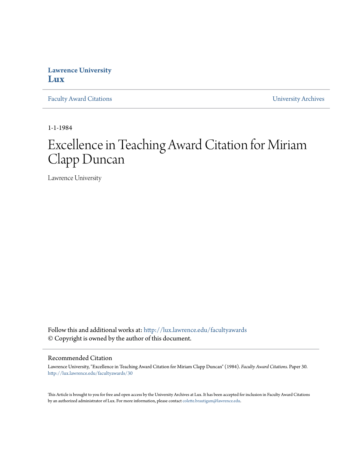## **Lawrence University [Lux](http://lux.lawrence.edu?utm_source=lux.lawrence.edu%2Ffacultyawards%2F30&utm_medium=PDF&utm_campaign=PDFCoverPages)**

[Faculty Award Citations](http://lux.lawrence.edu/facultyawards?utm_source=lux.lawrence.edu%2Ffacultyawards%2F30&utm_medium=PDF&utm_campaign=PDFCoverPages) **Example 2018** [University Archives](http://lux.lawrence.edu/archives?utm_source=lux.lawrence.edu%2Ffacultyawards%2F30&utm_medium=PDF&utm_campaign=PDFCoverPages)

1-1-1984

# Excellence in Teaching Award Citation for Miriam Clapp Duncan

Lawrence University

Follow this and additional works at: [http://lux.lawrence.edu/facultyawards](http://lux.lawrence.edu/facultyawards?utm_source=lux.lawrence.edu%2Ffacultyawards%2F30&utm_medium=PDF&utm_campaign=PDFCoverPages) © Copyright is owned by the author of this document.

#### Recommended Citation

Lawrence University, "Excellence in Teaching Award Citation for Miriam Clapp Duncan" (1984). *Faculty Award Citations.* Paper 30. [http://lux.lawrence.edu/facultyawards/30](http://lux.lawrence.edu/facultyawards/30?utm_source=lux.lawrence.edu%2Ffacultyawards%2F30&utm_medium=PDF&utm_campaign=PDFCoverPages)

This Article is brought to you for free and open access by the University Archives at Lux. It has been accepted for inclusion in Faculty Award Citations by an authorized administrator of Lux. For more information, please contact [colette.brautigam@lawrence.edu](mailto:colette.brautigam@lawrence.edu).